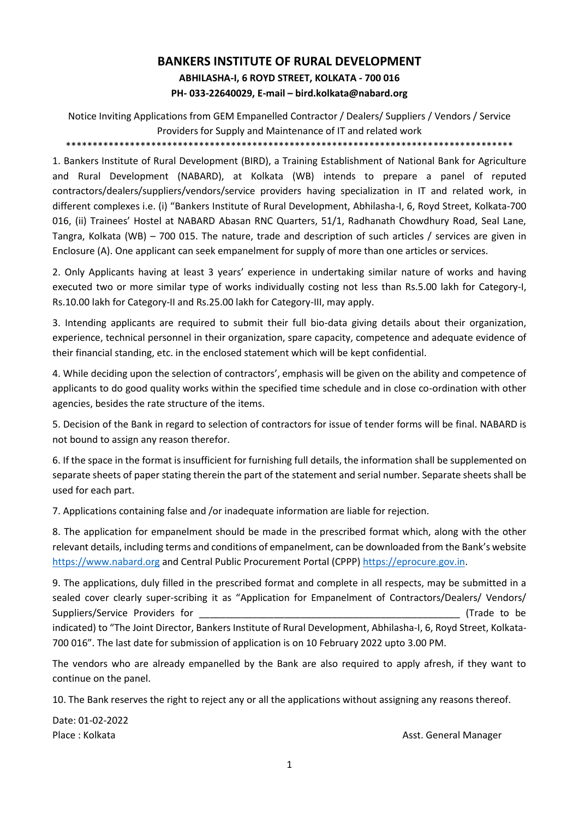# **BANKERS INSTITUTE OF RURAL DEVELOPMENT ABHILASHA-I, 6 ROYD STREET, KOLKATA - 700 016 PH- 033-22640029, E-mail – bird.kolkata@nabard.org**

Notice Inviting Applications from GEM Empanelled Contractor / Dealers/ Suppliers / Vendors / Service Providers for Supply and Maintenance of IT and related work \*\*\*\*\*\*\*\*\*\*\*\*\*\*\*\*\*\*\*\*\*\*\*\*\*\*\*\*\*\*\*\*\*\*\*\*\*\*\*\*\*\*\*\*\*\*\*\*\*\*\*\*\*\*\*\*\*\*\*\*\*\*\*\*\*\*\*\*\*\*\*\*\*\*\*\*\*\*\*\*\*\*\*\*

1. Bankers Institute of Rural Development (BIRD), a Training Establishment of National Bank for Agriculture and Rural Development (NABARD), at Kolkata (WB) intends to prepare a panel of reputed contractors/dealers/suppliers/vendors/service providers having specialization in IT and related work, in different complexes i.e. (i) "Bankers Institute of Rural Development, Abhilasha-I, 6, Royd Street, Kolkata-700 016, (ii) Trainees' Hostel at NABARD Abasan RNC Quarters, 51/1, Radhanath Chowdhury Road, Seal Lane, Tangra, Kolkata (WB) – 700 015. The nature, trade and description of such articles / services are given in Enclosure (A). One applicant can seek empanelment for supply of more than one articles or services.

2. Only Applicants having at least 3 years' experience in undertaking similar nature of works and having executed two or more similar type of works individually costing not less than Rs.5.00 lakh for Category-I, Rs.10.00 lakh for Category-II and Rs.25.00 lakh for Category-III, may apply.

3. Intending applicants are required to submit their full bio-data giving details about their organization, experience, technical personnel in their organization, spare capacity, competence and adequate evidence of their financial standing, etc. in the enclosed statement which will be kept confidential.

4. While deciding upon the selection of contractors', emphasis will be given on the ability and competence of applicants to do good quality works within the specified time schedule and in close co-ordination with other agencies, besides the rate structure of the items.

5. Decision of the Bank in regard to selection of contractors for issue of tender forms will be final. NABARD is not bound to assign any reason therefor.

6. If the space in the format is insufficient for furnishing full details, the information shall be supplemented on separate sheets of paper stating therein the part of the statement and serial number. Separate sheets shall be used for each part.

7. Applications containing false and /or inadequate information are liable for rejection.

8. The application for empanelment should be made in the prescribed format which, along with the other relevant details, including terms and conditions of empanelment, can be downloaded from the Bank's website [https://www.nabard.org](https://www.nabard.org/) and Central Public Procurement Portal (CPPP) [https://eprocure.gov.in.](https://eprocure.gov.in/)

9. The applications, duly filled in the prescribed format and complete in all respects, may be submitted in a sealed cover clearly super-scribing it as "Application for Empanelment of Contractors/Dealers/ Vendors/ Suppliers/Service Providers for **Example 2018** (Trade to be a set of the set of the set of the set of the set of the set of the set of the set of the set of the set of the set of the set of the set of the set of the set of indicated) to "The Joint Director, Bankers Institute of Rural Development, Abhilasha-I, 6, Royd Street, Kolkata-700 016". The last date for submission of application is on 10 February 2022 upto 3.00 PM.

The vendors who are already empanelled by the Bank are also required to apply afresh, if they want to continue on the panel.

10. The Bank reserves the right to reject any or all the applications without assigning any reasons thereof.

Date: 01-02-2022

Place : Kolkata Asst. General Manager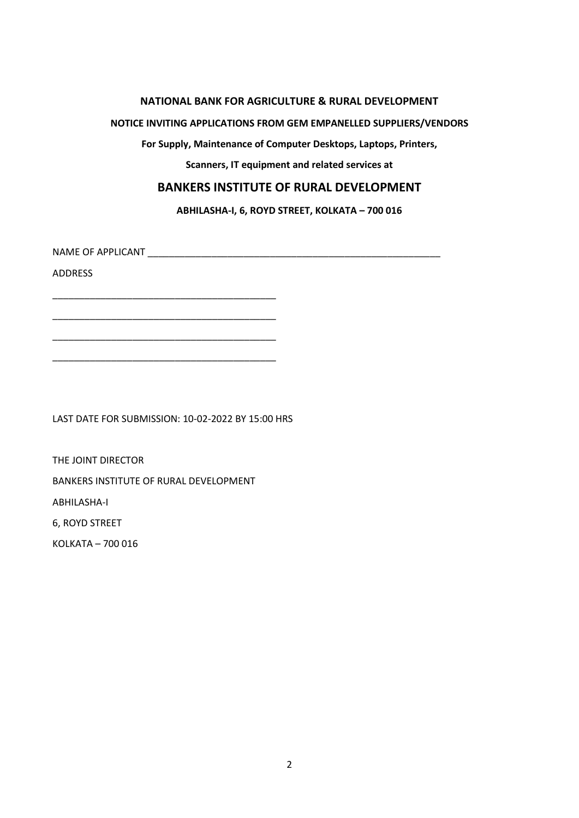#### **NATIONAL BANK FOR AGRICULTURE & RURAL DEVELOPMENT**

#### **NOTICE INVITING APPLICATIONS FROM GEM EMPANELLED SUPPLIERS/VENDORS**

**For Supply, Maintenance of Computer Desktops, Laptops, Printers,** 

**Scanners, IT equipment and related services at** 

## **BANKERS INSTITUTE OF RURAL DEVELOPMENT**

**ABHILASHA-I, 6, ROYD STREET, KOLKATA – 700 016** 

NAME OF APPLICANT **Example 20** 

ADDRESS

LAST DATE FOR SUBMISSION: 10-02-2022 BY 15:00 HRS

\_\_\_\_\_\_\_\_\_\_\_\_\_\_\_\_\_\_\_\_\_\_\_\_\_\_\_\_\_\_\_\_\_\_\_\_\_\_\_\_\_\_

\_\_\_\_\_\_\_\_\_\_\_\_\_\_\_\_\_\_\_\_\_\_\_\_\_\_\_\_\_\_\_\_\_\_\_\_\_\_\_\_\_\_

\_\_\_\_\_\_\_\_\_\_\_\_\_\_\_\_\_\_\_\_\_\_\_\_\_\_\_\_\_\_\_\_\_\_\_\_\_\_\_\_\_\_

\_\_\_\_\_\_\_\_\_\_\_\_\_\_\_\_\_\_\_\_\_\_\_\_\_\_\_\_\_\_\_\_\_\_\_\_\_\_\_\_\_\_

THE JOINT DIRECTOR BANKERS INSTITUTE OF RURAL DEVELOPMENT ABHILASHA-I 6, ROYD STREET

KOLKATA – 700 016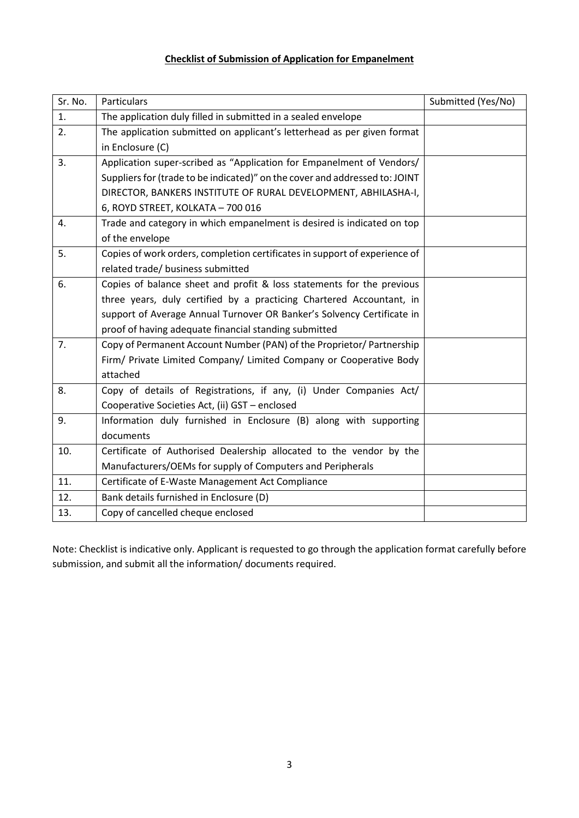## **Checklist of Submission of Application for Empanelment**

| Sr. No. | Particulars                                                                 | Submitted (Yes/No) |
|---------|-----------------------------------------------------------------------------|--------------------|
| 1.      | The application duly filled in submitted in a sealed envelope               |                    |
| 2.      | The application submitted on applicant's letterhead as per given format     |                    |
|         | in Enclosure (C)                                                            |                    |
| 3.      | Application super-scribed as "Application for Empanelment of Vendors/       |                    |
|         | Suppliers for (trade to be indicated)" on the cover and addressed to: JOINT |                    |
|         | DIRECTOR, BANKERS INSTITUTE OF RURAL DEVELOPMENT, ABHILASHA-I,              |                    |
|         | 6, ROYD STREET, KOLKATA - 700 016                                           |                    |
| 4.      | Trade and category in which empanelment is desired is indicated on top      |                    |
|         | of the envelope                                                             |                    |
| 5.      | Copies of work orders, completion certificates in support of experience of  |                    |
|         | related trade/ business submitted                                           |                    |
| 6.      | Copies of balance sheet and profit & loss statements for the previous       |                    |
|         | three years, duly certified by a practicing Chartered Accountant, in        |                    |
|         | support of Average Annual Turnover OR Banker's Solvency Certificate in      |                    |
|         | proof of having adequate financial standing submitted                       |                    |
| 7.      | Copy of Permanent Account Number (PAN) of the Proprietor/ Partnership       |                    |
|         | Firm/ Private Limited Company/ Limited Company or Cooperative Body          |                    |
|         | attached                                                                    |                    |
| 8.      | Copy of details of Registrations, if any, (i) Under Companies Act/          |                    |
|         | Cooperative Societies Act, (ii) GST - enclosed                              |                    |
| 9.      | Information duly furnished in Enclosure (B) along with supporting           |                    |
|         | documents                                                                   |                    |
| 10.     | Certificate of Authorised Dealership allocated to the vendor by the         |                    |
|         | Manufacturers/OEMs for supply of Computers and Peripherals                  |                    |
| 11.     | Certificate of E-Waste Management Act Compliance                            |                    |
| 12.     | Bank details furnished in Enclosure (D)                                     |                    |
| 13.     | Copy of cancelled cheque enclosed                                           |                    |

Note: Checklist is indicative only. Applicant is requested to go through the application format carefully before submission, and submit all the information/ documents required.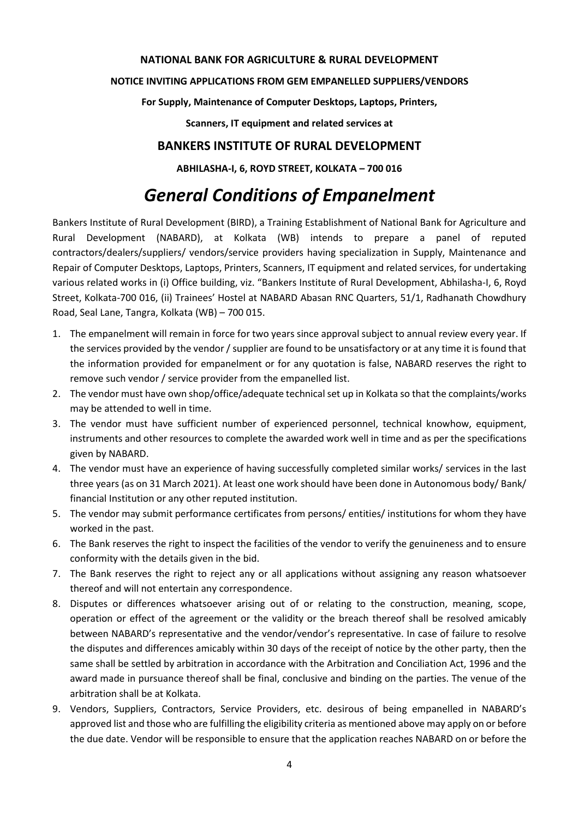#### **NATIONAL BANK FOR AGRICULTURE & RURAL DEVELOPMENT**

#### **NOTICE INVITING APPLICATIONS FROM GEM EMPANELLED SUPPLIERS/VENDORS**

**For Supply, Maintenance of Computer Desktops, Laptops, Printers,** 

**Scanners, IT equipment and related services at** 

# **BANKERS INSTITUTE OF RURAL DEVELOPMENT**

**ABHILASHA-I, 6, ROYD STREET, KOLKATA – 700 016** 

# *General Conditions of Empanelment*

Bankers Institute of Rural Development (BIRD), a Training Establishment of National Bank for Agriculture and Rural Development (NABARD), at Kolkata (WB) intends to prepare a panel of reputed contractors/dealers/suppliers/ vendors/service providers having specialization in Supply, Maintenance and Repair of Computer Desktops, Laptops, Printers, Scanners, IT equipment and related services, for undertaking various related works in (i) Office building, viz. "Bankers Institute of Rural Development, Abhilasha-I, 6, Royd Street, Kolkata-700 016, (ii) Trainees' Hostel at NABARD Abasan RNC Quarters, 51/1, Radhanath Chowdhury Road, Seal Lane, Tangra, Kolkata (WB) – 700 015.

- 1. The empanelment will remain in force for two years since approval subject to annual review every year. If the services provided by the vendor / supplier are found to be unsatisfactory or at any time it is found that the information provided for empanelment or for any quotation is false, NABARD reserves the right to remove such vendor / service provider from the empanelled list.
- 2. The vendor must have own shop/office/adequate technical set up in Kolkata so that the complaints/works may be attended to well in time.
- 3. The vendor must have sufficient number of experienced personnel, technical knowhow, equipment, instruments and other resources to complete the awarded work well in time and as per the specifications given by NABARD.
- 4. The vendor must have an experience of having successfully completed similar works/ services in the last three years (as on 31 March 2021). At least one work should have been done in Autonomous body/ Bank/ financial Institution or any other reputed institution.
- 5. The vendor may submit performance certificates from persons/ entities/ institutions for whom they have worked in the past.
- 6. The Bank reserves the right to inspect the facilities of the vendor to verify the genuineness and to ensure conformity with the details given in the bid.
- 7. The Bank reserves the right to reject any or all applications without assigning any reason whatsoever thereof and will not entertain any correspondence.
- 8. Disputes or differences whatsoever arising out of or relating to the construction, meaning, scope, operation or effect of the agreement or the validity or the breach thereof shall be resolved amicably between NABARD's representative and the vendor/vendor's representative. In case of failure to resolve the disputes and differences amicably within 30 days of the receipt of notice by the other party, then the same shall be settled by arbitration in accordance with the Arbitration and Conciliation Act, 1996 and the award made in pursuance thereof shall be final, conclusive and binding on the parties. The venue of the arbitration shall be at Kolkata.
- 9. Vendors, Suppliers, Contractors, Service Providers, etc. desirous of being empanelled in NABARD's approved list and those who are fulfilling the eligibility criteria as mentioned above may apply on or before the due date. Vendor will be responsible to ensure that the application reaches NABARD on or before the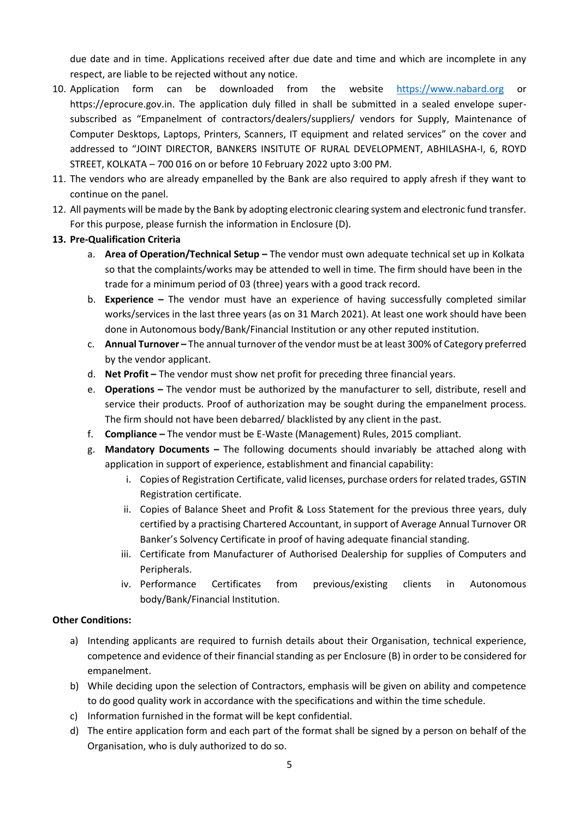due date and in time. Applications received after due date and time and which are incomplete in any respect, are liable to be rejected without any notice.

- 10. Application form can be downloaded from the website [https://www.nabard.org](https://www.nabard.org/) or https://eprocure.gov.in. The application duly filled in shall be submitted in a sealed envelope supersubscribed as "Empanelment of contractors/dealers/suppliers/ vendors for Supply, Maintenance of Computer Desktops, Laptops, Printers, Scanners, IT equipment and related services" on the cover and addressed to "JOINT DIRECTOR, BANKERS INSITUTE OF RURAL DEVELOPMENT, ABHILASHA-I, 6, ROYD STREET, KOLKATA – 700 016 on or before 10 February 2022 upto 3:00 PM.
- 11. The vendors who are already empanelled by the Bank are also required to apply afresh if they want to continue on the panel.
- 12. All payments will be made by the Bank by adopting electronic clearing system and electronic fund transfer. For this purpose, please furnish the information in Enclosure (D).
- **13. Pre-Qualification Criteria**
	- a. **Area of Operation/Technical Setup –** The vendor must own adequate technical set up in Kolkata so that the complaints/works may be attended to well in time. The firm should have been in the trade for a minimum period of 03 (three) years with a good track record.
	- b. **Experience –** The vendor must have an experience of having successfully completed similar works/services in the last three years (as on 31 March 2021). At least one work should have been done in Autonomous body/Bank/Financial Institution or any other reputed institution.
	- c. **Annual Turnover –** The annual turnover of the vendor must be at least 300% of Category preferred by the vendor applicant.
	- d. **Net Profit –** The vendor must show net profit for preceding three financial years.
	- e. **Operations –** The vendor must be authorized by the manufacturer to sell, distribute, resell and service their products. Proof of authorization may be sought during the empanelment process. The firm should not have been debarred/ blacklisted by any client in the past.
	- f. **Compliance –** The vendor must be E-Waste (Management) Rules, 2015 compliant.
	- g. **Mandatory Documents –** The following documents should invariably be attached along with application in support of experience, establishment and financial capability:
		- i. Copies of Registration Certificate, valid licenses, purchase orders for related trades, GSTIN Registration certificate.
		- ii. Copies of Balance Sheet and Profit & Loss Statement for the previous three years, duly certified by a practising Chartered Accountant, in support of Average Annual Turnover OR Banker's Solvency Certificate in proof of having adequate financial standing.
		- iii. Certificate from Manufacturer of Authorised Dealership for supplies of Computers and Peripherals.
		- iv. Performance Certificates from previous/existing clients in Autonomous body/Bank/Financial Institution.

### **Other Conditions:**

- a) Intending applicants are required to furnish details about their Organisation, technical experience, competence and evidence of their financial standing as per Enclosure (B) in order to be considered for empanelment.
- b) While deciding upon the selection of Contractors, emphasis will be given on ability and competence to do good quality work in accordance with the specifications and within the time schedule.
- c) Information furnished in the format will be kept confidential.
- d) The entire application form and each part of the format shall be signed by a person on behalf of the Organisation, who is duly authorized to do so.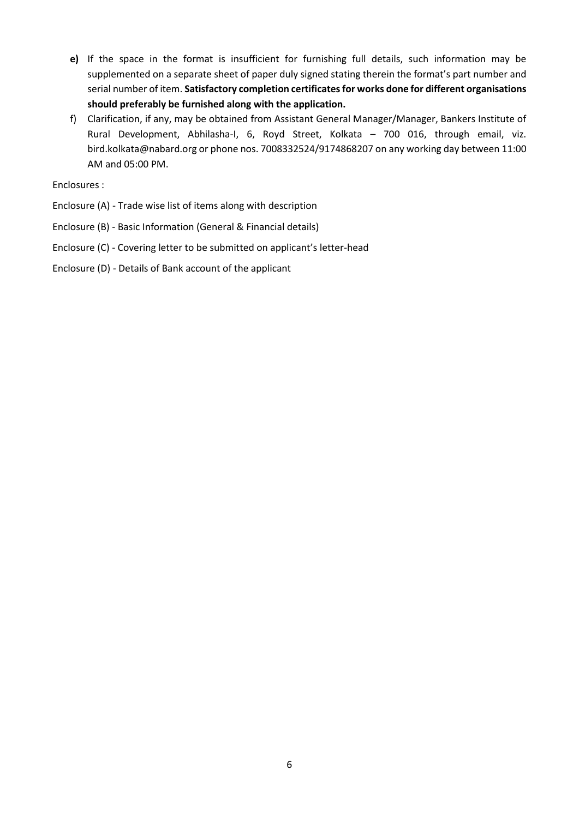- **e)** If the space in the format is insufficient for furnishing full details, such information may be supplemented on a separate sheet of paper duly signed stating therein the format's part number and serial number of item. **Satisfactory completion certificates for works done for different organisations should preferably be furnished along with the application.**
- f) Clarification, if any, may be obtained from Assistant General Manager/Manager, Bankers Institute of Rural Development, Abhilasha-I, 6, Royd Street, Kolkata – 700 016, through email, viz. bird.kolkata@nabard.org or phone nos. 7008332524/9174868207 on any working day between 11:00 AM and 05:00 PM.

Enclosures :

- Enclosure (A) Trade wise list of items along with description
- Enclosure (B) Basic Information (General & Financial details)
- Enclosure (C) Covering letter to be submitted on applicant's letter-head
- Enclosure (D) Details of Bank account of the applicant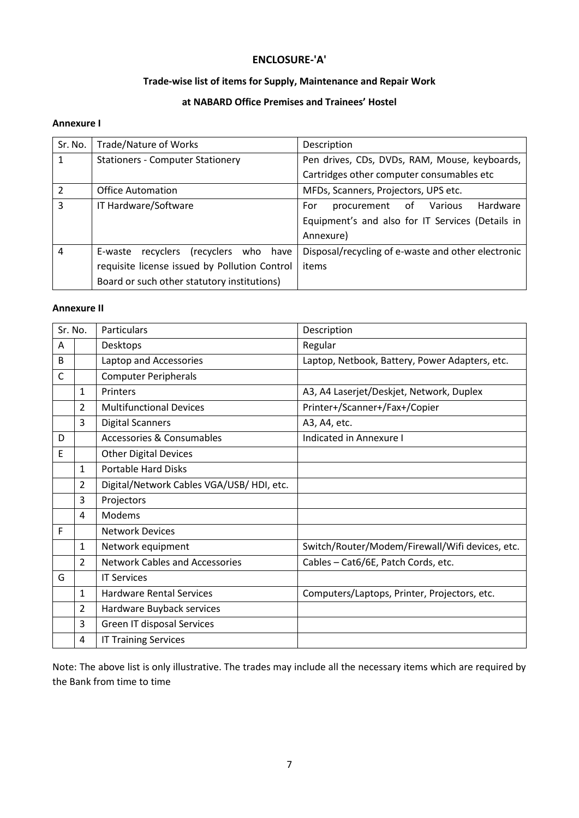## **ENCLOSURE-'A'**

## **Trade-wise list of items for Supply, Maintenance and Repair Work**

## **at NABARD Office Premises and Trainees' Hostel**

### **Annexure I**

| Sr. No.                  | Trade/Nature of Works                         | Description                                        |
|--------------------------|-----------------------------------------------|----------------------------------------------------|
| 1                        | <b>Stationers - Computer Stationery</b>       | Pen drives, CDs, DVDs, RAM, Mouse, keyboards,      |
|                          |                                               | Cartridges other computer consumables etc          |
| $\overline{\mathcal{L}}$ | <b>Office Automation</b>                      | MFDs, Scanners, Projectors, UPS etc.               |
| 3                        | IT Hardware/Software                          | Hardware<br>procurement<br>of Various<br>For       |
|                          |                                               | Equipment's and also for IT Services (Details in   |
|                          |                                               | Annexure)                                          |
| 4                        | (recyclers who have<br>recyclers<br>E-waste   | Disposal/recycling of e-waste and other electronic |
|                          | requisite license issued by Pollution Control | items                                              |
|                          | Board or such other statutory institutions)   |                                                    |

#### **Annexure II**

| Sr. No.      |                | Particulars                              | Description                                     |
|--------------|----------------|------------------------------------------|-------------------------------------------------|
| A            |                | Desktops                                 | Regular                                         |
| B            |                | Laptop and Accessories                   | Laptop, Netbook, Battery, Power Adapters, etc.  |
| $\mathsf{C}$ |                | <b>Computer Peripherals</b>              |                                                 |
|              | $\mathbf{1}$   | Printers                                 | A3, A4 Laserjet/Deskjet, Network, Duplex        |
|              | $\mathcal{L}$  | <b>Multifunctional Devices</b>           | Printer+/Scanner+/Fax+/Copier                   |
|              | 3              | <b>Digital Scanners</b>                  | A3, A4, etc.                                    |
| D            |                | Accessories & Consumables                | Indicated in Annexure I                         |
| F            |                | <b>Other Digital Devices</b>             |                                                 |
|              | $\mathbf{1}$   | <b>Portable Hard Disks</b>               |                                                 |
|              | 2              | Digital/Network Cables VGA/USB/HDI, etc. |                                                 |
|              | 3              | Projectors                               |                                                 |
|              | 4              | Modems                                   |                                                 |
| F            |                | <b>Network Devices</b>                   |                                                 |
|              | $\mathbf{1}$   | Network equipment                        | Switch/Router/Modem/Firewall/Wifi devices, etc. |
|              | $\overline{2}$ | <b>Network Cables and Accessories</b>    | Cables - Cat6/6E, Patch Cords, etc.             |
| G            |                | <b>IT Services</b>                       |                                                 |
|              | $\mathbf{1}$   | <b>Hardware Rental Services</b>          | Computers/Laptops, Printer, Projectors, etc.    |
|              | $\overline{2}$ | Hardware Buyback services                |                                                 |
|              | 3              | Green IT disposal Services               |                                                 |
|              | 4              | <b>IT Training Services</b>              |                                                 |

Note: The above list is only illustrative. The trades may include all the necessary items which are required by the Bank from time to time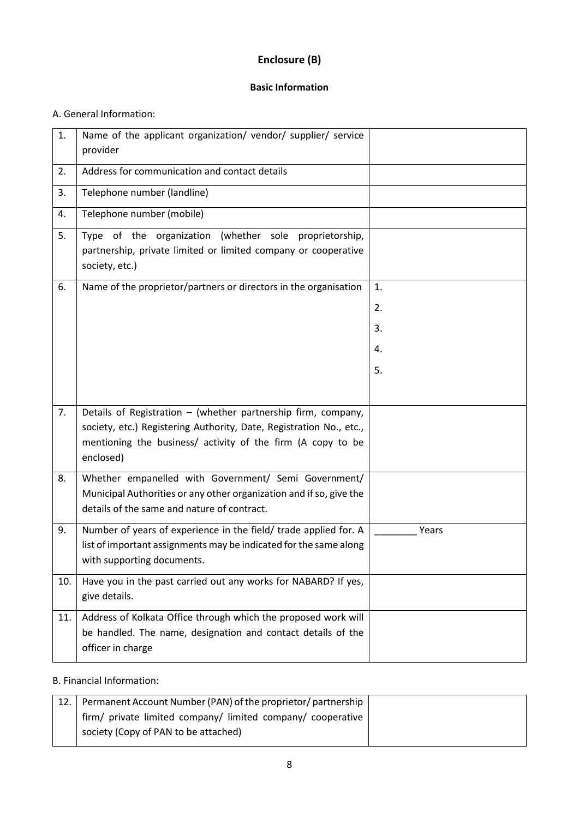# **Enclosure (B)**

### **Basic Information**

## A. General Information:

| 1.  | Name of the applicant organization/ vendor/ supplier/ service<br>provider                                                                                                                                        |       |
|-----|------------------------------------------------------------------------------------------------------------------------------------------------------------------------------------------------------------------|-------|
| 2.  | Address for communication and contact details                                                                                                                                                                    |       |
| 3.  | Telephone number (landline)                                                                                                                                                                                      |       |
| 4.  | Telephone number (mobile)                                                                                                                                                                                        |       |
| 5.  | Type of the organization (whether sole<br>proprietorship,<br>partnership, private limited or limited company or cooperative<br>society, etc.)                                                                    |       |
| 6.  | Name of the proprietor/partners or directors in the organisation                                                                                                                                                 | 1.    |
|     |                                                                                                                                                                                                                  | 2.    |
|     |                                                                                                                                                                                                                  | 3.    |
|     |                                                                                                                                                                                                                  | 4.    |
|     |                                                                                                                                                                                                                  | 5.    |
|     |                                                                                                                                                                                                                  |       |
| 7.  | Details of Registration - (whether partnership firm, company,<br>society, etc.) Registering Authority, Date, Registration No., etc.,<br>mentioning the business/ activity of the firm (A copy to be<br>enclosed) |       |
| 8.  | Whether empanelled with Government/ Semi Government/<br>Municipal Authorities or any other organization and if so, give the<br>details of the same and nature of contract.                                       |       |
| 9.  | Number of years of experience in the field/ trade applied for. A<br>list of important assignments may be indicated for the same along<br>with supporting documents.                                              | Years |
| 10. | Have you in the past carried out any works for NABARD? If yes,<br>give details.                                                                                                                                  |       |
| 11. | Address of Kolkata Office through which the proposed work will<br>be handled. The name, designation and contact details of the<br>officer in charge                                                              |       |

#### B. Financial Information:

| 12. | Permanent Account Number (PAN) of the proprietor/ partnership |
|-----|---------------------------------------------------------------|
|     | firm/ private limited company/ limited company/ cooperative   |
|     | society (Copy of PAN to be attached)                          |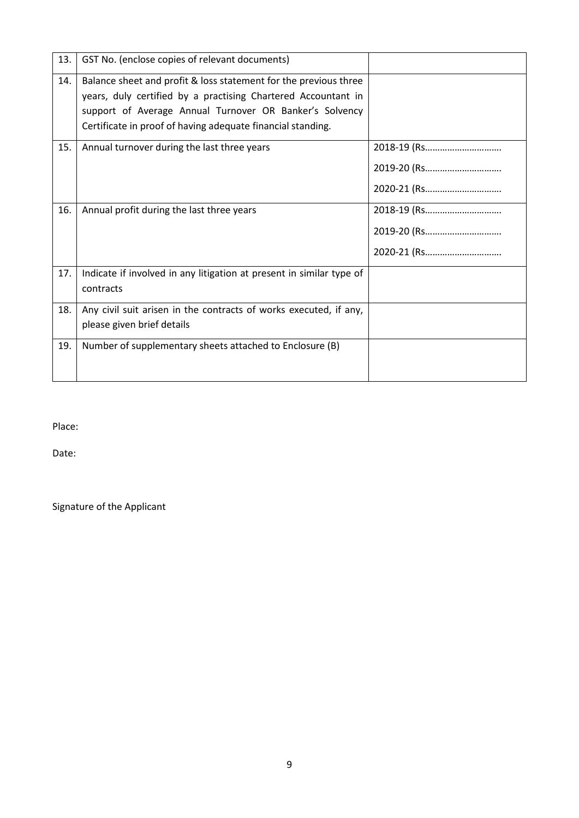| 13. | GST No. (enclose copies of relevant documents)                                                                                                                                                                                                              |                                           |
|-----|-------------------------------------------------------------------------------------------------------------------------------------------------------------------------------------------------------------------------------------------------------------|-------------------------------------------|
| 14. | Balance sheet and profit & loss statement for the previous three<br>years, duly certified by a practising Chartered Accountant in<br>support of Average Annual Turnover OR Banker's Solvency<br>Certificate in proof of having adequate financial standing. |                                           |
| 15. | Annual turnover during the last three years                                                                                                                                                                                                                 | 2018-19 (Rs<br>2019-20 (Rs<br>2020-21 (Rs |
| 16. | Annual profit during the last three years                                                                                                                                                                                                                   | 2018-19 (Rs<br>2019-20 (Rs<br>2020-21 (Rs |
| 17. | Indicate if involved in any litigation at present in similar type of<br>contracts                                                                                                                                                                           |                                           |
| 18. | Any civil suit arisen in the contracts of works executed, if any,<br>please given brief details                                                                                                                                                             |                                           |
| 19. | Number of supplementary sheets attached to Enclosure (B)                                                                                                                                                                                                    |                                           |

Place:

Date:

Signature of the Applicant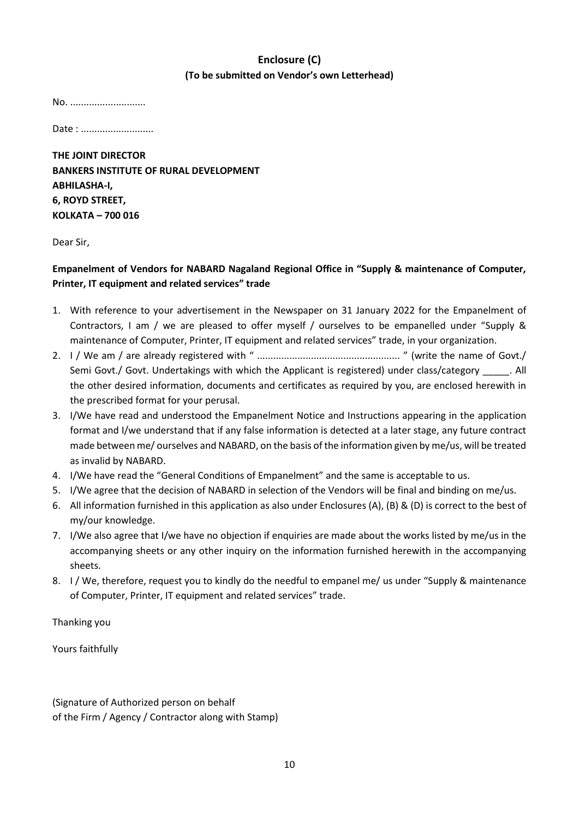# **Enclosure (C) (To be submitted on Vendor's own Letterhead)**

No. ............................

Date : ............................

**THE JOINT DIRECTOR BANKERS INSTITUTE OF RURAL DEVELOPMENT ABHILASHA-I, 6, ROYD STREET, KOLKATA – 700 016** 

Dear Sir,

## **Empanelment of Vendors for NABARD Nagaland Regional Office in "Supply & maintenance of Computer, Printer, IT equipment and related services" trade**

- 1. With reference to your advertisement in the Newspaper on 31 January 2022 for the Empanelment of Contractors, I am / we are pleased to offer myself / ourselves to be empanelled under "Supply & maintenance of Computer, Printer, IT equipment and related services" trade, in your organization.
- 2. I / We am / are already registered with " ..................................................... " (write the name of Govt./ Semi Govt./ Govt. Undertakings with which the Applicant is registered) under class/category \_\_\_\_\_. All the other desired information, documents and certificates as required by you, are enclosed herewith in the prescribed format for your perusal.
- 3. I/We have read and understood the Empanelment Notice and Instructions appearing in the application format and I/we understand that if any false information is detected at a later stage, any future contract made between me/ ourselves and NABARD, on the basis of the information given by me/us, will be treated as invalid by NABARD.
- 4. I/We have read the "General Conditions of Empanelment" and the same is acceptable to us.
- 5. I/We agree that the decision of NABARD in selection of the Vendors will be final and binding on me/us.
- 6. All information furnished in this application as also under Enclosures (A), (B) & (D) is correct to the best of my/our knowledge.
- 7. I/We also agree that I/we have no objection if enquiries are made about the works listed by me/us in the accompanying sheets or any other inquiry on the information furnished herewith in the accompanying sheets.
- 8. I / We, therefore, request you to kindly do the needful to empanel me/ us under "Supply & maintenance of Computer, Printer, IT equipment and related services" trade.

Thanking you

Yours faithfully

(Signature of Authorized person on behalf of the Firm / Agency / Contractor along with Stamp)